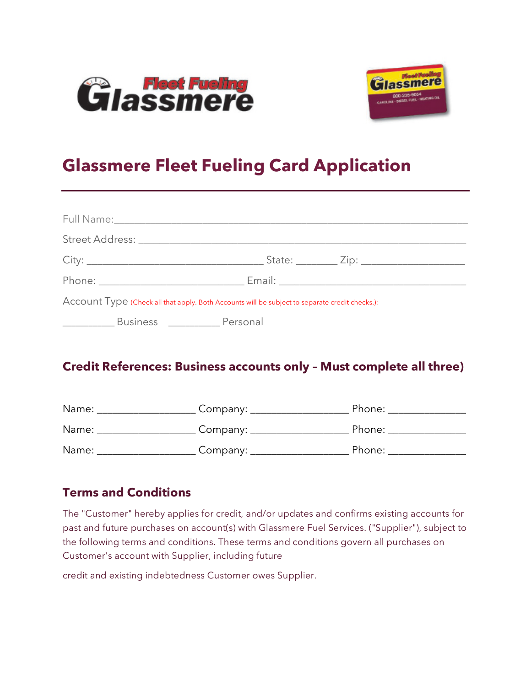



## **Glassmere Fleet Fueling Card Application**

|                                                                                                                                                                                                                                                                                                                                                                                                                                                                                        |                                      | Account Type (Check all that apply. Both Accounts will be subject to separate credit checks.): |  |
|----------------------------------------------------------------------------------------------------------------------------------------------------------------------------------------------------------------------------------------------------------------------------------------------------------------------------------------------------------------------------------------------------------------------------------------------------------------------------------------|--------------------------------------|------------------------------------------------------------------------------------------------|--|
| $\begin{array}{cccccccccc} \multicolumn{2}{c}{} & \multicolumn{2}{c}{} & \multicolumn{2}{c}{} & \multicolumn{2}{c}{} & \multicolumn{2}{c}{} & \multicolumn{2}{c}{} & \multicolumn{2}{c}{} & \multicolumn{2}{c}{} & \multicolumn{2}{c}{} & \multicolumn{2}{c}{} & \multicolumn{2}{c}{} & \multicolumn{2}{c}{} & \multicolumn{2}{c}{} & \multicolumn{2}{c}{} & \multicolumn{2}{c}{} & \multicolumn{2}{c}{} & \multicolumn{2}{c}{} & \multicolumn{2}{c}{} & \multicolumn{2}{c}{} & \mult$ | Business __________________ Personal |                                                                                                |  |

## **Credit References: Business accounts only – Must complete all three)**

| Name: | Company: | Phone: |
|-------|----------|--------|
| Name: | Company: | Phone: |
| Name: | Company: | Phone: |

## **Terms and Conditions**

The "Customer" hereby applies for credit, and/or updates and confirms existing accounts for past and future purchases on account(s) with Glassmere Fuel Services. ("Supplier"), subject to the following terms and conditions. These terms and conditions govern all purchases on Customer's account with Supplier, including future

credit and existing indebtedness Customer owes Supplier.